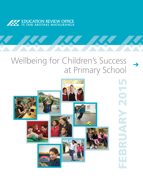

### Wellbeing for Children's Success at Primary School

FEBRUARY 2015

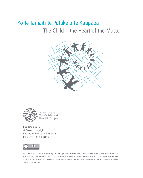### Ko te Tamaiti te Pūtake o te Kaupapa The Child – the Heart of the Matter





Published 2015 © Crown copyright Education Evaluation Reports ISBN 978-0-478-43819-2



Except for the Education Review Office's logo, this copyright work is licensed under Creative Commons Attribution 3.0 New Zealand licence. In essence, you are free to copy, distribute and adapt the work, as long as you attribute the work to the Education Review Office and abide by the other licence terms. In your attribution, use the wording 'Education Review Office', not the Education Review Office logo or the New Zealand Government logo.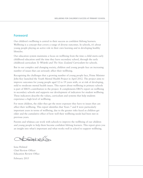### Foreword

Our children's wellbeing is central to their success as confident lifelong learners. Wellbeing is a concept that covers a range of diverse outcomes. In schools, it's about young people playing an active role in their own learning and in developing healthy lifestyles.

Our education system maintains a focus on wellbeing from the time a child starts early childhood education until the time they leave secondary school, through the early childhood curriculum *Te Whāriki and The New Zealand Curriculum* for schools.

But in our complex and changing society, children and young people face an increasing number of issues that can seriously affect their wellbeing.

Recognising the challenges that a growing number of young people face, Prime Minister John Key launched the Youth Mental Health Project in April 2012. The project aims to improve outcomes for young people aged 12 to 19 years with, or at risk of developing, mild to moderate mental health issues. This report about wellbeing in primary schools is part of ERO's contribution to the project. It complements ERO's report on wellbeing in secondary schools and supports our development of indicators for student wellbeing. These indicators describe the values, curriculum and systems that help students experience a high level of wellbeing.

For most children, the older they get the more exposure they have to issues that can affect their wellbeing. This report identifies that Years 7 and 8 were particularly important years in terms of wellbeing, due to the greater risks faced as children get older and the cumulative effect of how well their wellbeing needs had been met in previous years.

Parents and whānau can work with schools to improve the wellbeing of our children and young people to help them become confident lifelong learners. This report gives you an insight into what's important and what works well in school to support wellbeing.

 $B + B - R$ 

Iona Holsted Chief Review Officer Education Review Office February 2015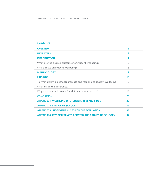### **Contents**

| 1  |  |
|----|--|
| 3  |  |
| 4  |  |
| 6  |  |
| 8  |  |
| 9  |  |
| 10 |  |
| 10 |  |
| 14 |  |
| 25 |  |
| 26 |  |
| 29 |  |
| 32 |  |
| 34 |  |
| 37 |  |
|    |  |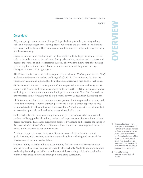### OVERVIEWOVERVIEW

**PAGE 1**

### **Overview**

All young people want the same things. Things like being included, learning, taking risks and experiencing success, having friends who value and accept them, and feeling competent and confident. They want teachers to be interested in them, to care for them and be trustworthy.

Likewise, parents want similar things for their children. To be happy at school, to feel safe, to be understood, to be well cared for by other adults, to relate well to others and become independent, and to experience success. They want to know that, if something goes wrong for their children at home or school, teachers will help them develop strategies to make things right again.

The Education Review Office (ERO) captured these ideas in *Wellbeing for Success: Draft evaluation indicators for student wellbeing (draft) 2013.1* The indicators describe the values, curriculum and systems that help students experience a high level of wellbeing.

ERO evaluated how well schools promoted and responded to student wellbeing in 159 schools with Years 1 to 8 students reviewed in Term 1, 2014. ERO also evaluated student wellbeing in secondary schools and the findings for schools with Years 9 to 13 students are presented in the *Wellbeing for Young People's Success at Secondary School<sup>2</sup> report.* 

ERO found nearly half of the primary schools promoted and responded reasonably well to student wellbeing. Another eighteen percent had a slightly better approach as they promoted student wellbeing through the curriculum. A small proportion of schools had an extensive approach, with wellbeing woven through all actions.

In these schools with an extensive approach, an agreed set of goals that emphasised student wellbeing guided all actions, reviews and improvements. Students found school deeply rewarding. The school curriculum promoted wellbeing and reflected the intent of *The New Zealand Curriculum* (NZC) to use local contexts to encourage and model its values and to develop its key competencies.

A cohesive approach was critical, as achievement was linked to the other school goals. Leaders, with teachers, actively monitored student wellbeing and reviewed the effectiveness of the approaches taken.

Students' ability to make and take accountability for their own choices was another key factor in the extensive approach taken by these schools. Students had opportunities to develop leadership, self efficacy, and resourcefulness while participating with others within a high trust culture and through a stimulating curriculum.

- 1 These draft indicators were developed as part of the *Youth Mental Health Project.* They can be found on www.ero.govt.nz/ Review-Process/Frameworksand-Evaluation-Indicators. More details of the *Youth Mental Health Project* are found on www.health.govt.nz/our-work/ mental-health-and-addictions/ youth-mental-health-project.
- 2 See ERO's website www.ero.govt.nz/National-Reports.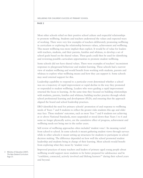Most other schools relied on their positive school culture and respectful relationships to promote wellbeing. Students and teachers understood the values and expected ways of working. There were very few examples of teachers deliberately promoting wellbeing in curriculum or exploring the relationship between values, achievement and wellbeing. This meant wellbeing was more implicit than explicit. It would be of value for leaders with teachers, students, and their parents, families and whānau, to develop a set of school goals based on the shared values. These goals could then be used for identifying and reviewing possible curriculum opportunities to promote student wellbeing.

Some schools did not have shared values. There were examples of teachers' inconsistent responses to playground behaviour and student learning. These schools had a narrow view of student wellbeing and would benefit from working with students, parents and whānau to explore what wellbeing means and how they can support it. Some schools may need external support for this.

Leadership capability to respond to a particular event determined whether a school was on a trajectory of rapid improvement or rapid decline in the way they promoted or responded to student wellbeing. Leaders who were guiding a rapid improvement returned the focus to learning. At the same time they focused on building relationships with students, parents, families and whānau; building teacher practice through whole school professional learning and development (PLD); and ensuring that the approach aligned the board and school leadership practices.

ERO identified the need for primary schools' promotion of and response to wellbeing needs of Years 7 and 8 students to reflect the greater risks students this age and older may face. These students' outcomes, such as more Year 7 and 8 students not achieving at or above National Standards, more suspended or stood down than Years 1 to 6 and some no longer physically active, are the cumulative effect of progress, achievement and wellbeing needs not being met in the earlier years.

Self review of wellbeing approaches often included 'student voice'. Its meaning varied from school to school. In some schools it meant gathering student views through surveys while in other schools it meant setting up structures for students to participate in school decision making. The difference depended on how well the school promoted student leadership and students being in charge of their learning. Most schools would benefit from exploring what they mean by 'student voice'.

Improved practices of many teachers and leaders of primary aged young people about wellbeing would support more students to be better prepared for adolescence and be "confident, connected, actively involved and lifelong learners<sup>3"</sup> during their school years and beyond.

3 Ministry of Education (2007). *The New Zealand Curriculum.*  Page 37.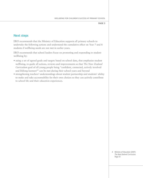### Next steps

ERO recommends that the Ministry of Education supports all primary schools to undertake the following actions and understand the cumulative effect on Year 7 and 8 students if wellbeing needs are not met in earlier years.

ERO recommends that school leaders focus on promoting and responding to student wellbeing by:

- using a set of agreed goals and targets based on school data, that emphasise student wellbeing, to guide all actions, reviews and improvements so that *The New Zealand Curriculum* goal of all young people being "confident, connected, actively involved and lifelong learners<sup>4</sup>" can be met during their school years and beyond
- strengthening teachers' understandings about student partnership and students' ability to make and take accountability for their own choices so they can actively contribute to school life and their education experiences.

4 Ministry of Education (2007). *The New Zealand Curriculum.*  Page 37.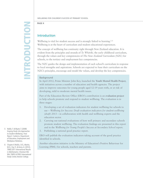# INTRODUCTION Noble, T. & Wyatt, T. (2008)<br>Scoping Study into Approaches<br>to Student Wellbeing. Final<br>Report. Canberra. Department<br>of Education, Employment and<br>Morkplace Relations.<br>In Matematics. Chesturt Hill,<br>In Matematics. Chesturt Hi

WELLBEING FOR CHILDREN'S SUCCESS AT PRIMARY SCHOOL

### **PAGE 4**

### Introduction

Wellbeing is vital for student success and is strongly linked to learning.<sup>5, 6</sup> Wellbeing is at the heart of curriculum and student educational experiences.

The concept of wellbeing has continuity right through New Zealand education. It is evident from the principles and strands of *Te Whāriki*, the early childhood curriculum, through the values and key competencies of *The New Zealand Curriculum* (NZC) for schools, to the tertiary and employment key competencies.

The NZC guides the design and implementation of each school's curriculum in response to local strengths and aspirations. Schools are expected to base their curriculum on the NZC's principles, encourage and model the values, and develop the key competencies.

### Background

In April 2012, Prime Minister John Key, launched the **Youth Mental Health Project**, with initiatives across a number of education and health agencies. The project aims to improve outcomes for young people aged 12-19 years with, or at risk of developing, mild to moderate mental health issues.

Part of the Education Review Office (ERO)'s contribution is an **evaluation project**  to help schools promote and respond to student wellbeing. The evaluation is in three stages:

- 1. Developing a set of evaluation indicators for student wellbeing for schools to use – *Wellbeing for Success: Draft evaluation indicators for student wellbeing (draft) 2013* – in collaboration with health and wellbeing experts and the education sector.
- 2. Carrying out national evaluations of how well primary and secondary schools promote student wellbeing. The evaluation findings are presented in this report and in the *Wellbeing for Young People's Success at Secondary School* report.
- 3. Publishing a national good practice report.

ERO will publish the evaluation indicators taking account of the good practice identified in schools.

Another education initiative is the Ministry of Education's Positive Behaviour for Learning (PB4L) for schools, teachers and parents.

- 5 Noble, T. & Wyatt, T. (2008) *Scoping Study into Approaches to Student Wellbeing. Final Report.* Canberra. Department of Education, Employment and Workplace Relations.
- 6 Chapter 6 Mullis, I.V.S., Martin, M.O., Foy, P., & Arora, A. (2012). *TIMSS 2011 International Results in Mathematics.* Chestnut Hill, MA: TIMSS & PIRLS International Study Center, Boston College.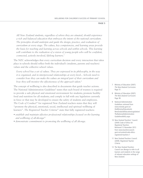*All New Zealand students, regardless of where they are situated, should experience a rich and balanced education that embraces the intent of the national curriculum. The principles should underpin and guide the design, practice, and evaluation of curriculum at every stage. The values, key competencies, and learning areas provide the basis for teaching and learning across schools and within schools. This learning will contribute to the realisation of a vision of young people who will be confident, connected, actively involved, lifelong learners.7* 

The NZC acknowledges that every curriculum decision and every interaction that takes place in schools should reflect both the individual's (students, parents and teachers) values and the collective school values.

*Every school has a set of values. They are expressed in its philosophy, in the way it is organised, and in interpersonal relationships at every level... Schools need to consider how they can make the values an integral part of their curriculum and how they will monitor the effectiveness of the approach taken.8* 

The concept of wellbeing is also described in documents that guide teacher actions. The National Administration Guidelines<sup>9</sup> states that each board of trustees is required to provide a safe physical and emotional environment for students; promote healthy food and nutrition for all students; and comply in full with any legislation currently in force or that may be developed to ensure the safety of students and employees. *The Code of Conduct10* for registered New Zealand teachers states that they will "promote the physical, emotional, social, intellectual and spiritual wellbeing of learners". *The Registered Teacher Criteria11* state that fully registered teachers:

- establish and maintain effective professional relationships focused on the learning *and wellbeing of all*  $\bar{a}$ *konga*<sup>12</sup>
- *demonstrate commitment to promoting the wellbeing of all*  $\bar{a}$ *konga.*
- 7 Ministry of Education (2007). *The New Zealand Curriculum.*  Page 37.
- 8 Ministry of Education (2007). *The New Zealand Curriculum.*  Page 38.
- 9 National Administration Guidelines retrieved from www.minedu.govt.nz/ theMinistry/EducationIn NewZealand/EducationLegislation/ TheNationalAdministration GuidelinesNAGs.aspx
- 10 New Zealand Teachers' Council. (2004) *Code of Ethics for Registered Teachers.*  Retrieved 12 November 2013 from www.teacherscouncil. govt.nz/content/code-ethicsregistered-teachers-1
- 11 New Zealand Teachers Council. (2009). *Registered Teacher Criteria.*
- 12 The New Zealand Teachers Council use ākonga to refer to all learners and students in the range of relevant education settings of New Zealand.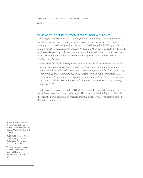### WHAT ARE THE DESIRED OUTCOMES FOR STUDENT WELLBEING?

Wellbeing is a concept that covers a range of diverse outcomes. All definitions of 'wellbeing for success' assume that young people are active participants in their learning and in developing healthy lifestyles. In developing the *Wellbeing for Success: Draft Evaluation Indicators for Student Wellbeing 2013*, *<sup>13</sup>* ERO consulted with health professionals, young people, tangata whenua, school leaders and the wider education sector. The definition adopted represented these perspectives, and was central to *Wellbeing for Success.* 

*A student's level of wellbeing at school is indicated by their satisfaction with life at school, their engagement with learning and their social-emotional behaviour. It is enhanced when evidence-informed practices are adopted by schools in partnership with families and community. Optimal student wellbeing is a sustainable state, characterised by predominantly positive feelings and attitude, positive relationships at school, resilience, self-optimism and a high level of satisfaction with learning experiences.14* 

On the basis of current research, ERO identified nine key ideas that demonstrated the *desired outcomes for student wellbeing.15* These are described in Figure 1. Schools, through their own consulting processes, may have their own set of desired outcomes that reflect similar ideas.

- 13 See www.ero.govt.nz/Review-Process/Frameworks-and-Evaluation-Indicators-for-ERO-Reviews/Wellbeing-Indicators-for-Schools.
- 14 Noble, T., McGrath, H., Roffey, S. and Rowling, L. (2008) C. Canberra: Department of Education. (Page 30)
- 15 See www.ero.govt.nz/content/ download/194999/3311315/ version/3/file/ERO\_ Wellbeing4Success-final.pdf (page 5)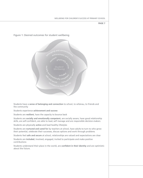

### Figure 1: Desired outcomes for student wellbeing



Students have a sense of belonging and connection to school, to whānau, to friends and the community

Students experience **achievement and success**

Students are **resilient**, have the capacity to bounce back

Students are **socially and emotionally competent**, are socially aware, have good relationship skills, are self-confident, are able to lead, self manage and are responsible decision-makers

Students are physically **active** and lead healthy lifestyles

Students are **nurtured and cared for** by teachers at school, have adults to turn to who grow their potential, celebrate their successes, discuss options and work through problems

Students feel **safe and secure** at school, relationships are valued and expectations are clear

Students are **included**, involved, engaged, invited to participate and make positive contributions

Students understand their place in the world, are **confident in their identity** and are optimistic about the future.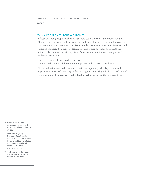### WHY A FOCUS ON STUDENT WELLBEING?

A focus on young people's wellbeing has increased nationally<sup>16</sup> and internationally.<sup>17</sup> Although there is not a single measure for student wellbeing, the factors that contribute are interrelated and interdependent. For example, a student's sense of achievement and success is enhanced by a sense of feeling safe and secure at school and affects their resilience. By summarising findings from New Zealand and international papers,<sup>18</sup> we know that many:

- school factors influence student success
- primary school-aged children do not experience a high level of wellbeing.

ERO's evaluation was undertaken to identify ways primary schools promote and respond to student wellbeing. By understanding and improving this, it is hoped that all young people will experience a higher level of wellbeing during the adolescent years.

- 16 See www.health.govt.nz/ our-work/mental-health-andaddictions/youth-mental-healthproject.
- 17 See Goldin N., (2014) *The Global Youth Wellbeing Index.* A report of the CSIS Youth, Prosperity and Security Initiative and the International Youth Foundation. Found on www.youthindex.org
- 18 A full summary of this research is in Appendix 1: Wellbeing of students in Years 1 to 8.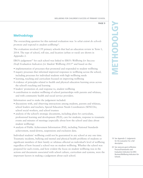**METHODOLGY** 

### **Methodology**

The overarching question for this national evaluation was *'to what extent do schools promote and respond to student wellbeing?'.*

The evaluation involved 159 primary schools that had an education review in Term 1, 2014. The type of school, roll size, and location (urban or rural) are shown in Appendix 2.

ERO's judgement<sup>19</sup> for each school was linked to ERO's *Wellbeing for Success: Draft Evaluation Indicators for Student Wellbeing 201320* and based on the:

- implementation of processes that promoted and responded to student wellbeing
- inquiry processes that informed improved responses to wellbeing across the school, including processes for individual students with high wellbeing needs
- learning, teaching and curriculum focused on improving wellbeing
- evidence of principles related to health and physical education learning areas across the school's teaching and learning
- leaders' promotion of, and response to, student wellbeing
- contribution to student wellbeing of school partnerships with parents and whānau, and with community health and social service providers.

Information used to make the judgement included:

- discussions with, and observing interactions among students, parents and whānau, school leaders and teachers, Special Education Needs Coordinators (SENCOs), school social workers, and school trustees
- analysis of the school's strategic documents, including plans for curriculum, professional learning and development (PLD), care for students, response to traumatic events and minutes of meetings (especially about how the school used data about student wellbeing)
- analysis of Public Achievement Information (PAI), including National Standards achievement, stand-downs, suspensions and exclusion data.

Individual students' wellbeing could not be guaranteed in any school at any one time. Traumatic incidents, bullying and mental and physical health problems of students or significant members of their family or whānau affected an individual's level of wellbeing regardless of how focused a school was on student wellbeing. Whether the school was prepared for such events, and how evident the focus on student wellbeing was in the actions and documents associated with school culture, curriculum and systems, were the important factors in making a judgement about each school.

- 19 See *Appendix 3: Judgements for the evaluation* for a full description.
- 19 See Apr<br>
for the descript<br>
20 See www.<br>
Evaluati<br>
Reviews<br>
Schools. 20 See www.ero.govt.nz/Review-Process/Frameworks-and-Evaluation-Indicators-for-ERO-Reviews/Wellbeing-Indicators-for-Schools.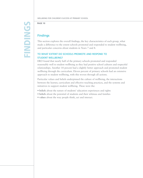**FINDINGS** FINDINGS

WELLBEING FOR CHILDREN'S SUCCESS AT PRIMARY SCHOOL

**PAGE 10**

### Findings

This section explores the overall findings, the key characteristics of each group, what made a difference to the extent schools promoted and responded to student wellbeing, and particular concerns about students in Years 7 and 8.

### TO WHAT EXTENT DO SCHOOLS PROMOTE AND RESPOND TO STUDENT WELLBEING?

ERO found that nearly half of the primary schools promoted and responded reasonably well to student wellbeing as they had positive school cultures and respectful relationships. Another 18 percent had a slightly better approach and promoted student wellbeing through the curriculum. Eleven percent of primary schools had an extensive approach to student wellbeing, with this woven through all actions.

Particular values and beliefs underpinned the culture of wellbeing, the interactions between the learner, curriculum and effective teaching practices, and the systems and initiatives to support student wellbeing. These were the:

- **beliefs** about the nature of students' education experiences and rights
- beliefs about the potential of students and their whānau and families
- **values** about the way people think, act and interact.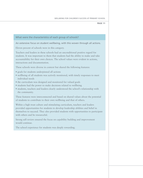### What were the characteristics of each group of schools?

An extensive focus on student wellbeing, with this woven through all actions.

Eleven percent of schools were in this category.

Teachers and leaders in these schools had an unconditional positive regard for students. It was important to them that students had the ability to make and take accountability for their own choices. The school values were evident in actions, interactions and documentation.

These schools were diverse in context but shared the following features:

- goals for students underpinned all actions
- wellbeing of all students was actively monitored, with timely responses to meet individual needs
- the curriculum was designed and monitored for valued goals
- students had the power to make decisions related to wellbeing
- students, teachers and leaders clearly understood the school's relationship with the community.

These features were interconnected and based on shared values about the potential of students to contribute to their own wellbeing and that of others.

Within a high trust culture and stimulating curriculum, teachers and leaders provided opportunities for students to develop leadership abilities and belief in themselves to succeed. They also provided students with opportunities to participate with others and be resourceful.

Strong self review ensured the focus on capability building and improvement would continue.

The school experience for students was deeply rewarding.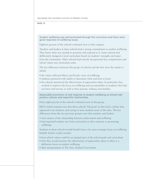### **PAGE 12**

Student wellbeing was well promoted through the curriculum and there were good responses to wellbeing issues.

Eighteen percent of the schools evaluated were in this category.

Teachers and leaders in these schools had a strong commitment to student wellbeing. They knew what was needed to promote and respond to it. Some schools had deliberately designed a local curriculum based on students' strengths and input from the community. Other schools had actively incorporated key competencies and school values into curriculum tasks.

The key differences between this group of schools and the first were the extent to which:

- the vision reflected Māori and Pacific views of wellbeing
- students partnered with adults to determine what and how to learn
- the schools monitored the effectiveness of approaches taken. In particular, they worked to improve the focus on wellbeing and accountability to students who had not been well served, as well as their parents, whānau and families.

Reasonable promotion of and response to student wellbeing as schools had positive cultures and respectful relationships.

Forty-eight percent of the schools evaluated were in this group.

ERO's initial response was that these schools 'felt good' as they had a culture that appeared to be inclusive and caring to most students most of the time. The key differences from the two previous groups were that teachers and leaders:

- were unsure of the relationship between achievement and wellbeing
- had separated student care from curriculum in their response to promoting wellbeing.

Students in these schools would benefit from a far more strategic focus on wellbeing. Initially leaders could consider:

- how school values could be an integral part of the school goals and curriculum
- how they would monitor the effectiveness of approaches taken so there is a deliberate focus on student wellbeing
- their interpretation of *The New Zealand Curriculum.*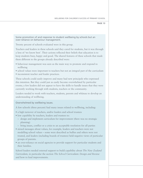Some promotion of and response to student wellbeing by schools but an over-reliance on behaviour management.

Twenty percent of schools evaluated were in this group.

Teachers and leaders in these schools said they cared for students, but it was through a lens of 'we know best'. Their actions reflected their beliefs that education is to keep students busy, happy and good. The shared features of these schools that made them different to the groups already described were:

- behaviour management was seen as the main way to promote and respond to wellbeing
- school values were important to teachers but not an integral part of the curriculum
- inconsistent teacher and leader practices.

These schools could easily improve and many had new principals who expressed this intention. But they could just as easily become overwhelmed by particular events; a few leaders did not appear to have the skills to handle issues that they were currently working through with students, teachers or the community.

Leaders needed to work with teachers, students, parents and whānau to develop an understanding of wellbeing.

Overwhelmed by wellbeing issues.

A few schools (three percent) had many issues related to wellbeing, including:

- a high turnover of teachers, and/or leaders and school trustees
- low capability by teachers, leaders and trustees to:
	- design and implement curriculum for improvement (there was no strategic planning)
	- bring issues, conflict or a crisis to an acceptable resolution for all parties
- mixed messages about values, for example, leaders and teachers were not modelling school values – some were described as bullies and others were not trusted, and leaders (including boards of trustees) held negative views of particular groups of parents.
- an over-reliance on social agencies to provide support for particular students and their families.

School leaders needed external support to build capability about *The New Zealand Curriculum,* in particular the section *The School Curriculum: Design and Review*  and how to lead improvements.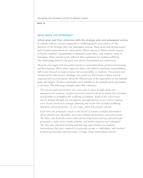### WHAT MADE THE DIFFERENCE?

School goals and their coherence with the strategic plan and subsequent actions In schools with an extensive approach to wellbeing, goals were used to set the direction of the strategic plan and subsequent actions. These goals had annual targets and included expectations for achievement; M¯aori success as M¯aori; Pacific success as Pacific, students' responsibility to themselves and others, and students' sense of belonging. These schools' goals reflected their aspirations for student wellbeing. The relationship between the goals was clearly documented and understood.

All goals and targets had associated actions in curriculum plans, professional learning and development (PLD) plans, appraisal plans, and defined committee responsibilities. Self review focused on improvement and accountability to students. The actions were monitored for effectiveness. Findings were acted on. The boards of these schools expected and received reports about the effectiveness of the approaches on the multiple goals and targets. Teachers and leaders were mindful of the multiple goals and targets at all times. The following examples show this coherence.

*The school employed teachers who were able to share its high ideals and aspirations for students. Leaders had used research both from within New Zealand*  and globally to strengthen the wellbeing of students. Roles in the school were *clearly defined through job descriptions and appraisal processes. School trustees were closely involved in strategic planning and review that included wellbeing initiatives and programmes.* (A very large, urban full primary school)

*Each term, the principal's report to the board of trustees included information about student care, discipline, sport and cultural involvement, and achievement. The data came from the senior team and teaching teams and was discussed and presented to staff, where trends, patterns and further inquiries were identified. The data also informed teaching and learning opportunities for students, interventions that were required for particular groups or individuals, and teachers' professional learning and next steps.* (A large, urban intermediate school)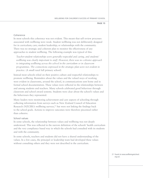### Coherence

In most schools this coherence was not evident. This meant that self review processes associated with wellbeing were weak. Student wellbeing was not deliberately designed for in curriculum; care; student leadership; or relationships with the community. There was no strategic and coherent plan to monitor the effectiveness of any approaches to student wellbeing. The following example was typical of this:

*Teacher-student relationships were generally respectful and caring, and students' wellbeing was clearly important to staff. However, there was no cohesive approach to integrating wellbeing across the school in the curriculum or in classroom*  programmes. The connections expressed in the strategic plan were not evident in *practice.* (A small rural full primary school)

Instead most schools relied on their positive culture and respectful relationships to promote wellbeing. Reminders about the values and the valued ways of working were evident in classrooms, around the school, in communications sent home and in formal school documentation. These values were reflected in the relationships between and among students and teachers. Many schools celebrated good behaviour through classroom and school award systems. Students were clear about the school's values and the behaviours they represented.

Many leaders were monitoring achievement and care aspects of schooling through collecting information from surveys such as New Zealand Council of Education Research (NZCER)'s wellbeing surveys, $^{21}$  but were not linking the findings back to the school goals. Actions to improve outcomes were therefore piecemeal rather than cohesive.

### School values

In some schools, the relationship between values and wellbeing was not deeply understood. This was reflected in the narrow definition of the schools' health curriculum and the very compliance based way in which the schools had consulted with its students and with the community.

In some schools, teachers and students did not have a shared understanding of the values. In a few cases, the principal or leadership team had developed these values without consulting others and they were not described in the curriculum.

> 21 Found at www.wellbeingatschool. org.nz/.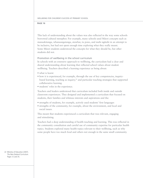### **PAGE 16**

This lack of understanding about the values was also reflected in the way some schools borrowed cultural metaphor. For example, many schools used M¯aori concepts such as manaakitanga, whanaungatanga, atawhai, tu pono, and mahi ngātahi in an attempt to be inclusive, but had not spent enough time exploring what they really meant. Some Māori students understood the concepts for what they should be, but other students did not.

### Promotion of wellbeing in the school curriculum

In schools with an extensive approach to wellbeing, the curriculum had a clear and shared understanding about learning that reflected school values about student wellbeing. Teachers described a learning experience as being about:

- what is learnt
- how it is experienced, for example, through the use of key competencies, inquirybased learning, teaching as inquiry,<sup>22</sup> and particular teaching strategies that supported collaborative learning
- students' roles in the experience.

Teachers and leaders understood that curriculum included both inside and outside classroom experiences. They designed and implemented a curriculum that focused on students, their families and whānau interests and aspirations and the:

- strengths of students, for example, actively used students' first languages
- strengths of the community, for example, about the environment, and local and social issues.

This meant that students experienced a curriculum that was relevant, engaging and stimulating.

Teachers had a deep understanding of health teaching and learning. This was reflected in the community consultation and careful use of community expertise for particular health topics. Students explored many health topics relevant to their wellbeing, such as why some people have too much food and others not enough in the same small community.

22 Ministry of Education (2007). *The New Zealand Curriculum.*  Pages 12 and 35.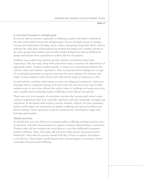### A curriculum focused on multiple goals

In schools with an extensive approach to wellbeing, teachers and leaders understood the inter-relationship between the multiple goals. Success included success in reading, writing and mathematics, learning, sports, culture and getting along with others. Success reflected the value these schools placed on students becoming well rounded. Schools in the other groups had a similar goal of well rounded students but did not deliberately design and monitor their curriculum to achieve this for all students.

Feedback was sought from students, parents, families and whānau about their experiences. This was used, along with achievement data, to monitor the effectiveness of approaches taken. Teachers worked together to notice any contradictions between the school's values and students' experiences. They incorporated their findings into a range of coordinated approaches to improve outcomes for more students. For instance, the range of topics students could choose from reflected the range of interests in a class.

In most schools, academic achievement was the over-riding goal monitored. Classroom strategies such as cooperative group work and circle time may have been used to help students work in ways that reflected the school values. A challenge for leaders was to be more mindful about promoting student wellbeing in ways that go beyond this.

There were very few examples of curriculum activities that incorporated school values and key competencies that were culturally responsive and used community strengths and aspirations. In discussion with teachers, parents, families, wh¯anau, iwi and community, leaders could explore the aspirations for student wellbeing and success for Māori and Pacific students. These aspirations could be translated into school goals, targets and learning opportunities.

### Teacher practices

In schools that were less effective in ensuring student wellbeing, teaching practices were inconsistent, with little documentation to support a shared understanding of curriculum. Teachers often did not interpret the curriculum in a way that deliberately promoted student wellbeing. Often, the leaders did not know what current classroom practice looked like, what effective practice should look like, or how to support all teachers to be effective. These leaders would benefit from external support to develop a school curriculum that promoted wellbeing.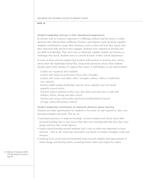### **PAGE 18**

### Student leadership and say in their educational experiences

In schools with an extensive approach to wellbeing, students had the power to make decisions that affected their wellbeing. Teachers and students made decisions together. Students contributed to many daily decisions, such as what and how they learnt, who they interacted with and how they engaged. Students were expected to develop and use skills in leadership. They were seen as inherently capable, despite any barriers or challenges they faced. Students were in control of many of their school experiences.

In some of these schools students had worked with teachers to develop clear visions about what this leadership looked like, along with statements about what students should expect from teachers to support this vision. A wall display in one school stated:

*Leaders are organised and confident. Leaders who make good decisions know their strengths.* Leaders who notice and utilise others' strengths enhance others to build their *own capacity. Teachers build student leadership capacity, show empathy and role model empathy toward others. Teachers respect students in their care, they listen and take time to talk with children, before, during and after school. Teachers give praise and positive and honest feedback/feed forward.* (A large, urban full primary school)

Student leadership contribution to classroom decisions about learning Teachers provided opportunities for students to be aware of, and respond to, their own learning strengths and needs. The use of:

- assessment practices to improve learning<sup>23</sup> ensured students had clarity about their personal learning, that is, they knew what they were learning and why, how they were going, and how they could improve
- inquiry-based learning ensured students had a voice in what was important to learn and how – that is, the classroom curriculum was based on student strengths, needs and interests
- studying local, social and environmental issues ensured students had opportunities to make change and develop clarity around personal values and respect for others.

23 Ministry of Education (2007). *The New Zealand Curriculum.*  Page 39.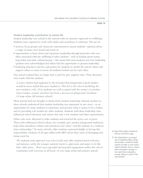### Student leadership contribution to school life Student leadership was valued in the schools with an extensive approach to wellbeing. Students were expected to work with adults and contribute to solutions. The use of:

- surveys, focus groups and classroom representatives meant students' opinions about a range of issues were heard and acted on
- opportunities to learn about and experience leadership through particular roles was often associated with the wellbeing of other students – such as leading sports teams, kapa haka and other cultural groups – this meant that most students saw how leadership qualities were acknowledged and others had the opportunity to practise leadership
- buddying structures and the expectation for students to model the school values and support others to enact it meant all students looked out for each other.

One school realised they no longer had a need for peer support roles. These decisions were made with the students.

*A senior student had suggested to the principal that playground activity leaders would be more useful than peer mediators. This led to the school abolishing the peer mediator roles. Now students are well occupied with the variety of activities senior leaders created, and there has been a decrease in playground 'incidents'.*  (A large urban full primary school)

Most schools had not thought as much about student leadership. Instead, teachers in these schools understood that student leadership was important in two ways – as an opportunity for some students to experience and practise what it means to be a leader, and by providing role models for other students. Students with these leadership roles influenced school decisions and culture but only a few students had these opportunities.

Other roles were allocated to older students and involved the active care of peers. These roles influenced school culture, for example, peer mentor, playground mediators, kapa haka manukura wahine and manukura tane roles,<sup>24</sup> and the tuakana in a tuakana teina relationship.25 In many schools, older students expressed delight in having this responsibility. Students of all ages talked with ERO about their sense of belonging and being cared for.

*The tuakana teina approach was school wide and older students learnt tolerance and patience, while the younger students learnt to appreciate and aspire to be like their older peers... There was respectful and peaceful engagement within this school community with everyone at all levels.* (A very large urban full primary school)

- 24 Kapa Haka leaders (manukura) both on and off the stage.
- 25 This relationship is an integral part of traditional Māori society, and provides a model for buddy systems. An older or more expert tuakana (brother, sister or cousin) helps and guides a younger or less expert teina (originally a younger sibling or cousin of the same gender).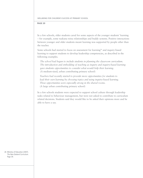### **PAGE 20**

In a few schools, older students cared for some aspects of the younger students' learning – for example, some tuakana teina relationships and buddy systems. Positive interactions between younger and older students meant learning was supported by people other than the teacher.

Some schools had started to focus on assessment for learning<sup>26</sup> and inquiry-based learning to support students to develop leadership competencies, as described in the following examples.

*The school had begun to include students in planning the classroom curriculum. The introduction and embedding of teaching as inquiry and inquiry-based learning gave students opportunities to consider what would help their learning.*  (A medium-sized, urban contributing primary school)

*Teachers had recently started to provide more opportunities for students to lead their own learning by choosing topics and using inquiry-based learning. These opportunities were especially strong in the shared rooms.*  (A large urban contributing primary school)

In a few schools students were expected to support school culture through leadership tasks related to behaviour management, but were not asked to contribute to curriculum related decisions. Students said they would like to be asked their opinions more and be able to have a say.

26 Ministry of Education (2007). *The New Zealand Curriculum.*  Page 39.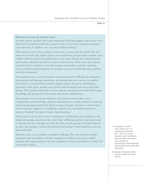### What do we mean by student voice?

In many schools teachers and leaders discussed collecting student (and parent) voice. They had not explored what they meant by this or how they intended to promote and respond to it. Student voice can mean different things.<sup>27</sup>

If the purpose was to hear students' views, then a survey may be useful. This was what most schools did. Other schools used small focus groups to hear student views. Neither method ensures all students have a say. Some schools had summarised the information collected and used it to inform their actions. Only a very few schools reported back to students on how the teachers and leaders used their opinions. A few schools had asked students to complete a survey but had then done nothing with the information.

If the purpose was to involve students in decisions about wellbeing, the education environment and learning experiences, mechanisms beyond a survey are needed. For instance, in some schools students helped analyse the survey information, reported to their peers, parents and teachers and developed next steps with these groups. The teachers and leaders in these schools understood and valued the unique knowledge and perspectives about their school that students have.

If the purpose was to increase students' self awareness about their views, competencies and knowledge, classroom discussions can enable teachers to respond with learning opportunities that build on these strengths. Teachers in schools that had an extensive approach to wellbeing, tended to use assessment practices to improve learning<sup>28</sup> to support inquiry-based learning.

If the purpose was to have teams of students in a leadership role contribute to the design of learning experiences that affect their wellbeing, teachers and leaders need to provide the time and space for this. In a few schools, groups of students had set up their own groups to advise the principal and teachers about lunchtime activities and road safety.

All these voices can contribute to student wellbeing. The most effective schools promoted and responded to all these examples of student voice and provided students with opportunities to develop confidence in their contribution to school life and in their identity.

- 27 See Bolstad. R., (2011) *From "student voice" to "youth-adult partnership".*  SET 1: 2011 for a further discussion about the different ideas associated with student voice. Available at www.nzcer.org.nz/nzcerpress/set/ articles/student-voice-youth-adultpartnership.
- 28 Ministry of Education (2007). *The New Zealand Curriculum.*  Page 39.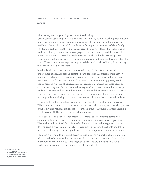### Monitoring and responding to student wellbeing

Circumstances can change very quickly even in the many schools working with students to enhance their wellbeing. Traumatic incidents, bullying, and mental and physical health problems still occurred for students or for important members of their family or whānau, and affected these individuals regardless of how focused a school was on student wellbeing. Some schools were prepared for such events – and this was reflected in the school culture, curriculum and approaches. Other schools were not prepared. Leaders did not have the capability to support students and teachers during or after the event. These schools were experiencing a rapid decline in their wellbeing focus as they were overwhelmed by the event.

In schools with an extensive approach to wellbeing, the beliefs and values that underpinned curriculum also underpinned care decisions. All students were actively monitored and schools ensured timely responses to meet individual wellbeing needs. Examples of the formal monitoring of all students included noticing peaks, trends and patterns in registers of achievement, attendance, playground incidents, student care and sick bay use. One school used sociograms<sup>29</sup> to explore interactions amongst students. Teachers and leaders talked with students and their parents and used surveys at particular times to determine whether there were any issues. They were vigilant in noticing student wellbeing and were able to respond in ways that supported students.

Leaders had good relationships with a variety of health and wellbeing organisations. This meant they had easy access to support, such as health nurses, social workers, sports groups, city and regional council officers, church groups, Resource Teachers Learning and Behaviour (RTLBs), and neighbourhood police.

These schools had clear roles for students, teachers, leaders, teaching teams and committees. Students trusted other students, adults and the system to support them. Those who spoke to ERO felt safe at school and also knew who to go to and what to do if an issue arose. Examples of clarity were seen in the care the schools had taken with establishing agreed school guidelines, roles and responsibilities and behaviours.

There were clear guidelines about access to guidance and support, including knowing who needed to be informed of and who needed to respond to particular information. In schools where community wellbeing was at risk, leaders allocated time for a leadership role responsible for student care. In one school:

29 See www.6seconds. org/2012/05/08/sociogramsmapping-the-emotionaldynamics-of-a-classroom/.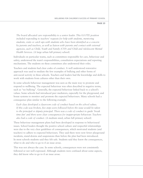*The board allocated care responsibility to a senior leader. This 0.8 FTE position included responding to teachers' requests for help with students, mentoring students, visits or catch ups with students who have been identified as a concern by parents and teachers, as well as liaison with parents and contact with external agencies, such as Child, Youth and Family (CYF) and Child and Adolescent Mental Health Services.* (A large urban full primary school)

Individuals on particular teams, such as committees responsible for care, behaviour and safety, understood the team's responsibilities, consultation expectations and reporting mechanisms. The students on these committees also understood their roles.

Teachers and students had clear codes of conduct. A well understood restorative approach was used to mediate the few examples of bullying and other forms of anti-social activity in these schools. Teachers and leaders had the knowledge and skills to work with students from cultures other than their own.

In some schools behaviour management was seen as the main way to promote and respond to wellbeing. The expected behaviour was often described in negative terms, such as "no bullying". Generally, the expected behaviour linked back to a school's values. Some schools had introduced peer mediators, especially for the playground, and house systems to monitor and promote the expected behaviours. Many schools had a consequence plan similar to the following example.

*Each class developed a classroom code of conduct based on the school values. If this code was broken, five steps were followed before the issue would be taken to the principal or deputy principal. There was a code of conduct to guide 'break time fun' and there were clear consequences for inappropriate behaviour. Teachers also had a code of conduct.* (A medium sized, urban full primary school)

These behaviour management plans had been developed in response to behavioural issues. School leaders thought the positive school culture and respectful relationships were due to the very clear guidelines of consequences, which motivated students (and teachers) to adhere to expected behaviours. They said there were now fewer playground incidents, stand-downs and suspensions than before the plan had been introduced. In most schools students said they felt safe. Students said they knew the consequences, what to do and who to go to if an issue arose.

This was not always the case. In some schools, consequences were not consistently followed or not well expressed. Although students were confused about some aspects, they did know who to go to if an issue arose.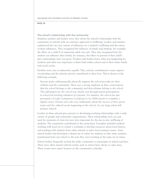### The school's relationship with the community

Students, teachers and leaders were clear about the school's relationship with the community in schools with an extensive approach to wellbeing. Leaders and teachers understood the two-way nature of influences on a student's wellbeing and the extent of these influences. They recognised the influence of family and whānau, for example, the affect on a child if an important adult was sick. They also recognised how the student can influence their family, for instance, the effect on parents if their child's peer relationships were not good. Teachers and leaders knew what was happening for students and what was important to them both within school and in their wider family and social circles.

Families were seen as inherently capable. They actively contributed to many aspects of schooling and the schools actively contributed to their lives. This is shown in the following example.

*Parents spoke enthusiastically about the support the school provides for their children and the community. There was a strong emphasis in their conversations that the school belongs to the community and that whānau belong to the school. This affirmation for the school was clearly seen through parent participation in school led teaching initiatives for parents. For instance, the school has just presented a Google Competence Certificate to its 500th parent to complete a digital course. Parents were also very enthusiastic about the success of their sports teams and the cultural events happening in the school.* (A very large urban full primary school)

Leaders in these schools gave priority to developing working relationships with a wide variety of people and community organisations. These relationships were not just used for moments of crisis but were also important for the day-to-day wellbeing of students. The community contributed to the curriculum. Examples included students working with local iwi to restore a wetlands or develop resources about local history, and working with students from other schools to solve local transport issues. Some school leaders had developed a shared set of values for students so that when students transitioned from one school to the next they were working to the same set of values.

School leaders frequently invited the wider community to participate in school activities. These were often annual cultural events, such as school fairs, shows or open days. These events were major features on the community's calendar.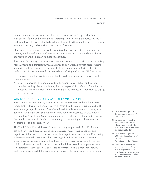In other schools leaders had not explored the meaning of working relationships with parents, family and whānau when designing, implementing and reviewing their wellbeing focus. In many schools the relationships with Māori and Pacific communities were not as strong as those with other groups of parents.

Many schools relied on surveys as the main tool for engaging with students and their parents, families and whānau. Conversations with these groups about their aspirations and views on wellbeing may be more enlightening.

A few schools had negative views about particular students and their families, especially Māori, Pacific and immigrants, which affected their relationships with these students and their families. Some of these schools had high numbers of Māori and Pacific students but did not consistently promote their wellbeing and success. ERO observed:

- the relatively low levels of Māori and Pacific student achievement compared with other students
- the lack of understanding about a culturally responsive curriculum and culturally responsive teaching. For example, they had not explored *Ka Hikitia*,<sup>30</sup> Tataiako<sup>31</sup> or the *Pasifika Education Plan* (PEP)<sup>32</sup> and whānau and families were reluctant to engage with these schools.

### WHY DO STUDENTS IN YEARS 7 AND 8 NEED MORE SUPPORT?

Year 7 and 8 students in many schools were not experiencing the desired outcomes for student wellbeing. Full primary schools (Years 1 to 8) were over-represented in the lower three groups of schools.<sup>33</sup> More Year 7 and 8 students were not achieving at or above National Standards and nationally more had been suspended or stood down compared to Years 1 to 6. Some were no longer physically active. These outcomes are the cumulative effect of schools not promoting and responding to achievement and wellbeing needs in the earlier years.

The Youth Mental Health Project focuses on young people aged 12 to 19. Although not all Year 7 and 8 students are in this age range, primary-aged young people's experiences influence the level of wellbeing they experience as adolescents. Considering deliberate actions that are focused on ensuring all students succeed academically, enjoy participating in sport and cultural activities, and have leadership roles so they build confidence and feel in control of their school lives, would better prepare them for adolescence. Some schools also needed to initiate remedial actions for individual students at Years 7 and 8 that go beyond a punitive behaviour management response.

- 30 See www.minedu.govt.nz/ theministry/policyandstrategy/ kahikitia.aspx.
- 31 See www.teacherscouncil.govt. nz/content/t%C4%81taiakocultural-competencies-teachersm%C4%81ori-learners-resourceuse-graduating-teacher.
- 32 See www.minedu.govt.nz/ NZEducation/EducationPolicies/ PasifikaEducation/ PasifikaEducationPlan2013.aspx.
- 33 There were 11 Intermediate schools in this sample. They were overrepresented in the overwhelmed group and the large group with values integrated in the school curriculum.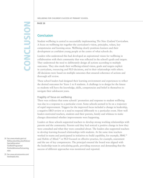CONCLUSION CONCLUSION

WELLBEING FOR CHILDREN'S SUCCESS AT PRIMARY SCHOOL

**PAGE 26**

### Conclusion

Student wellbeing is central to successfully implementing *The New Zealand Curriculum.*  A focus on wellbeing ties together the curriculum's vision, principles, values, key competencies and learning areas. Wellbeing clearly positions learners and their development as confident young people at the centre of what schools do.

Leaders who understood this had developed an aspirational vision for wellbeing in collaboration with their community that was reflected in the school's goals and targets. They understood the need to deliberately design all actions according to multiple outcomes. They also made their wellbeing-related vision, goals and targets explicit in curriculum, resourcing and PLD decisions, and in their relationships with others. All decisions were based on multiple outcomes that ensured coherence of actions and thorough self review.

These school leaders had designed their learning environment and experiences to reflect the desired outcomes for Years 1 to 8 students. A challenge is to design for the future so students will have the knowledge, skills, competencies and belief in themselves to navigate their adolescent years.

### Fragility of focus on wellbeing

There was evidence that some schools' promotion and response to student wellbeing was due to a response to a particular event. Some schools seemed to be on a trajectory of rapid improvement. Triggers for the improved focus included a change in leadership, a negative ERO review or a need to respond differently to a particular event. How well leaders motivated teachers, students and their parents, family and whānau to make changes determined whether improvements were happening.

Leaders at these schools supported teachers to develop strong working relationships with parents and the community. Parents said they had noticed a positive change in how they were consulted and what they were consulted about. The leaders also supported teachers to develop learning-focused relationships with students. At the same time teachers worked in teams and participated in initiatives to build capability, for example, PB4L<sup>34</sup> and *Habits of Mind,35* or PLD focused on effective practice, for example, assessment and the use of key competencies. The principal ensured the board was aligned with the leadership team in articulating goals, providing resources and demanding that the success of different approaches was monitored and reported.

- 34 See www.minedu.govt.nz/ NZEducation/EducationPolicies/ SpecialEducation/ OurWorkProgramme/ PositiveBehaviourForLearning. aspx.
- 35 See www.artcostacentre.com/ html/habits.htm.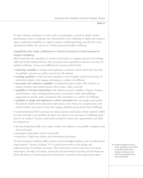In other schools, responses to events such as earthquakes, a teacher's death, teacher performance issues or bullying, were detrimental to the wellbeing of adults and students. Again, leadership capability to support students' wellbeing during and after the event determined whether the school as a whole promoted student wellbeing.

### Capabilities that made a difference in school's promotion of and response to student wellbeing

ERO found that the capability of teachers and leaders to integrate practice, knowledge, skills and beliefs influenced how they promoted and responded to *desired outcomes for student wellbeing.* A focus on wellbeing for success could include:

- **leadership capability** to design and implement a coherent whole school plan focused on multiple outcomes to achieve success for all students
- **teaching capability** to find and trial responses to the strengths needs and interests of individual students, that engage and support a culture of wellbeing
- **assessment and evaluative capability** to understand and use data with students, so leaders, teachers and students know what works, when, and why
- **capability to develop relationships** with students, parents, families, whānau, trustees, school leaders, other teaching professionals, community health and wellbeing organisations and the wider community that contribute to a culture of wellbeing
- **capability to design and implement a school curriculum** that encourages and models the school's beliefs about education experiences, core values, key competencies, and valued student outcomes, in ways that engage students and promote their wellbeing.

A transformational shift in practice for many teachers and leaders about students' ability to make and take accountability for their own choices was necessary if wellbeing goals were to be realised. Teachers and leaders needed to explore the opportunities provided for students to:

- develop leadership skills and a sense of their own ability to successfully complete tasks and reach goals
- participate with others and be resourceful
- experience a high trust culture and stimulating curriculum.

The Best Evidence Synthesis (BES) inquiry and knowledge-building cycle for educational improvement<sup>36</sup> (shown in Figure 3) is a useful framework for the design and implementation of multiple outcomes. This framework ensures coherence from goals and targets, through curriculum, resourcing and professional learning and development (PLD) decisions, to monitoring and reviewing the outcomes of the approaches taken.

36 Further background and use of this framework can be found on the BES (Iterative Best Evidence Synthesis) site at http://www.educationcounts. govt.nz/topics/BES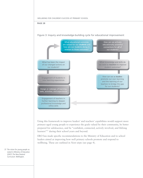**PAGE 28**

Figure 3: Inquiry and knowledge-building cycle for educational improvement



Using this framework to improve leaders' and teachers' capabilities would support more primary-aged young people to experience the goals valued by their community, be better prepared for adolescence, and be "confident, connected, actively involved, and lifelong learners"37 during their school years and beyond.

ERO has made specific recommendations to the Ministry of Education and to school leaders aimed at improving how well primary schools promote and respond to wellbeing. These are outlined in *Next steps* (see page 4)*.*

37 The vision for young people as stated in Ministry of Education (2007) *The New Zealand Curriculum.* Wellington.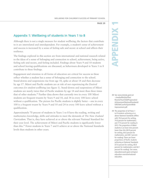### Appendix 1: Wellbeing of students in Years 1 to 8

Although there is not a single measure for student wellbeing, the factors that contribute to it are interrelated and interdependent. For example, a student's sense of achievement and success is increased by a sense of feeling safe and secure at school and affects their resilience.

The findings explored in this section are from international and national research related to the ideas of a sense of belonging and connection to school, achievement, being active, feeling safe and secure, and feeling included. Findings about Years 9 and 10 students and school leaving qualifications are discussed, as behaviours developed in Years 1 to 8 contribute to these findings.

Engagement and retention in all forms of education are critical for success as these reflect whether a student has a sense of belonging and connection to the school. Stand-downs and suspensions rise from age 10, spike at about 14 and then decrease by age 17. M¯aori and Pacific students are at risk of not experiencing the *Desired outcomes for student wellbeing* (see figure 1). Stand-downs and suspensions of Māori students are nearly twice that of Pacific students by age 14 and more than three times that of other students.<sup>38</sup> Further data shows that currently two in every 100 Māori students are frequent truants by Years 9 and 10, and 34 in every 100 leave school without a qualification. The picture for Pacific students is slightly better – one in every 100 is a frequent truant by Years 9 and 10 and 24 in every 100 leave school without a qualification.

Approximately 70 percent of students in Years 1 to 8 have the reading, writing and mathematics knowledge, skills and attitudes to meet the demands of *The New Zealand Curriculum.* That is, they have achieved at or above the relevant National Standard for their year level. The achievement of Māori and Pacific students is significantly lower than this.39 Fewer students in Years 7 and 8 achieve at or above the National Standards levels than students in other years.

# **APPENDIX**

- 38 See www.minedu.govt.nz/ ~/media/MinEdu/Files/ Parents/YourChild/ProgressAnd Achievement/NationalStandards/ GREENACaseForSystemWide Improvement.pdf.
- **Example 18**<br>
Sa See www...<br>
Arendia/N<br>
Parents/Yo<br>
Achieveme<br>
GREENAC:<br>
GREENAC:<br>
Improvem<br>
39 The propor<br>
to 8 stude<br>
above Nat<br>
with 70.6<br>
74.6 perce<br>
and 77.0 p<br>
2013. The<br>
students is<br>
for writing<br>
mathemat for writin 39 The proportion of all Years 1 to 8 students achieving at or above National Standards differs with 70.6 percent for writing, 74.6 percent for mathematics and 77.0 percent for reading in 2013. The proportion of Māori students is at least nine percent lower than this (60.9 percent for writing, 64.6 percent for mathematics, and 68.7 percent for reading). There are lower proportions of Pacific students achieving at National Standards (57.6 percent for writing, 60.8 percent for mathematics, and 64.1 percent for reading). See www. educationcounts.govt.nz/topics/ education-overview/nationaleducation.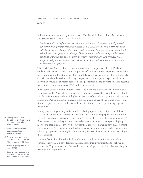**PAGE 30**

Achievement is influenced by many factors. The Trends in International Mathematics and Science Study (TIMSS 2011)<sup>40</sup> stated:

*Students with the highest mathematics (and science) achievement typically attend schools that emphasize academic success, as indicated by rigorous curricular goals, effective teachers, students that desire to do well, and parental support. In contrast, schools with discipline and safety problems are not conducive to high achievement. Students that attended schools with disorderly environments and reported more frequent bullying had much lower achievement than their counterparts in safe and orderly schools (page 247).*

The TIMSS 2011 study showed that a relatively high proportion of New Zealand students (68 percent of Year 5 and 54 percent of Year 9) reported experiencing negative behaviours from other students at least monthly. A higher proportion of boys than girls experienced these behaviours although no particular ethnic group experienced them more than would be expected based on their proportion of the population. This negative pattern has been evident since 1994 and is not reducing.<sup>41</sup>

In the same study, students in both Years 5 and 9 generally perceived their school as a good place to be. More than eight out of 10 students agreed they liked being at school and felt safe and secure there. A higher proportion of girls than boys were positive about school and Pacific and Asian students were the most positive of the ethnic groups. This finding appears to be in conflict with the earlier finding about experiencing negative behaviour.

Young people are generally active and like playing sports. Only 2.8 percent of 5 to 10-year-old boys and 3.2 percent of girls this age dislike playing sport. But within the 15 to 18 age group this has increased to 5.7 percent of boys and 10.2 percent of girls.42 Fifty percent of secondary students are active in one or more school sports. Slightly more boys than girls are involved.<sup>43</sup> Across the ages 5 to 18, Pacific boys (72.4 percent) and Asian boys (74.3 percent) are less likely to participate in games and activities than all boys (78 percent). Asian girls (77.2 percent) are less likely to participate than all girls (81.5 percent).

Students feel included in schools through cultural and social activities that reflect personal interests. We have less information about this involvement, although we do know that 37 percent of 5 to10-year-old boys and 42 percent of 5 to 10-year-olds girls participate in kapa haka.44

- 40 See http://timss.bc.edu/ timss2011/international-resultsmathematics.html (Chapter 6: School Climate).
- 41 See www.educationcounts. govt.nz/publications/ series/2571/114981.
- 42 See www.srknowledge.org.nz/ wp-content/uploads/2013/10/ YPS-Complete-5-09-2012.pdf.
- 43 See www.sportsground.co.nz/ nzsssc/71315/.
- 44 See www.srknowledge.org.nz/ wp-content/uploads/2013/10/ YPS-Complete-5-09-2012.pdf.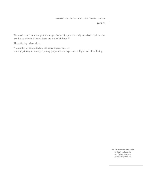We also know that among children aged 10 to 14, approximately one sixth of all deaths are due to suicide. Most of these are Māori children.<sup>45</sup>

These findings show that:

- a number of school factors influence student success
- many primary school-aged young people do not experience a high level of wellbeing.

45 See www.educationcounts. govt.nz/\_\_data/assets/ pdf\_file/0003/142887/ BullyingOnepagers.pdf.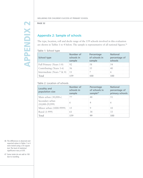**APPENDIX 2** APPENDIX 2

WELLBEING FOR CHILDREN'S SUCCESS AT PRIMARY SCHOOL

**PAGE 32**

### Appendix 2: Sample of schools

The type, location, roll and decile range of the 159 schools involved in this evaluation are shown in Tables 1 to 4 below. The sample is representative of all national figures.<sup>46</sup>

Table 1: School type

| <b>School type</b>                   | Number of<br>schools in<br>sample | Percentage<br>of schools in<br>sample | <b>National</b><br>percentage of<br>schools |
|--------------------------------------|-----------------------------------|---------------------------------------|---------------------------------------------|
| Full Primary (Years 1-8)             |                                   |                                       |                                             |
| Contributing (Years 1-6)             |                                   |                                       |                                             |
| Intermediate (Years $7 & 8 & 8$ ) 11 |                                   |                                       |                                             |
|                                      |                                   |                                       |                                             |

### Table 2: Location of schools

| <b>Locality and</b><br>population size | <b>Number of</b><br>schools in<br>sample | Percentage<br>of schools in<br>sample <sup>47</sup> | <b>National</b><br>percentage of<br>primary schools |
|----------------------------------------|------------------------------------------|-----------------------------------------------------|-----------------------------------------------------|
| Main urban $(30,000+)$                 |                                          |                                                     |                                                     |
| Secondary urban<br>$(10,000-29,999)$   |                                          |                                                     |                                                     |
| Minor urban (1000-9999)                | $\pm$ 15                                 |                                                     |                                                     |
| Rural (1-999)                          |                                          |                                                     | 33                                                  |
| Total                                  |                                          |                                                     |                                                     |

- 46 The differences in observed and expected values in Tables 1 to 4 were tested using a Chi square test. The level of statistical significance was p<0.05.
- 47 Some totals do not add to 100 due to rounding.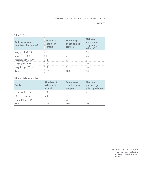### **PAGE 33**

### Table 3: Roll size

| Roll size group<br>(number of students) | Number of<br>schools in<br>sample | Percentage<br>of schools in<br>sample | <b>National</b><br>percentage<br>of primary<br>schools <sup>48</sup> |
|-----------------------------------------|-----------------------------------|---------------------------------------|----------------------------------------------------------------------|
| Very small $(1-30)$                     |                                   |                                       |                                                                      |
| Small (31-100)                          | 43                                |                                       | 22                                                                   |
| Medium (101-300)                        | 61                                | 38                                    | 38                                                                   |
| Large $(301-500)$                       |                                   | 18                                    | 20                                                                   |
| Very Large $(501+)$                     |                                   |                                       |                                                                      |
| Total                                   |                                   |                                       |                                                                      |

### Table 4: School decile

| <b>Decile</b>       | <b>Number of</b><br>schools in<br>sample | Percentage<br>of schools in<br>sample | <b>National</b><br>percentage of<br>primary schools |
|---------------------|------------------------------------------|---------------------------------------|-----------------------------------------------------|
| Low decile $(1-3)$  |                                          |                                       |                                                     |
| Middle decile (4-7) |                                          |                                       |                                                     |
| High decile (8-10)  |                                          |                                       |                                                     |
| Total               |                                          |                                       |                                                     |

48 The national percentage of each school type is based on the total population of schools as at 14 July 2014.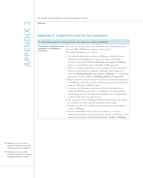**APPENDIX 3** *Wellbeing for Success: Draft*<br> *wellbeing (draft) 2013. Pages 7-4*<br> *wellbeing for Success: Draft*<br> *wellation indicators for studen<br>
wellation indicators for studen<br>
wellbeing (draft) 2013. Page 6.* 

### **PAGE 34**

### Appendix 3: Judgements used for the evaluation

|                                                                     | To what extent does this school promote and respond to student wellbeing?                                                                                                                                                                                                                                                                                                                                                                                                                                                                                                                                                                                                                                                                                                                                                                                                                                                                                                                                                                                                                                                                                                                                                                                                                                                                                                                         |
|---------------------------------------------------------------------|---------------------------------------------------------------------------------------------------------------------------------------------------------------------------------------------------------------------------------------------------------------------------------------------------------------------------------------------------------------------------------------------------------------------------------------------------------------------------------------------------------------------------------------------------------------------------------------------------------------------------------------------------------------------------------------------------------------------------------------------------------------------------------------------------------------------------------------------------------------------------------------------------------------------------------------------------------------------------------------------------------------------------------------------------------------------------------------------------------------------------------------------------------------------------------------------------------------------------------------------------------------------------------------------------------------------------------------------------------------------------------------------------|
| The school's promotion and<br>response to wellbeing is<br>extensive | The school's culture, values and operations are well aligned with<br>those of ERO's Wellbeing Indicator Framework <sup>49</sup> .<br>The following features are evident:                                                                                                                                                                                                                                                                                                                                                                                                                                                                                                                                                                                                                                                                                                                                                                                                                                                                                                                                                                                                                                                                                                                                                                                                                          |
|                                                                     | • The school's approach to student wellbeing, including values,<br>leadership, partnerships and inquiry processes contribute to<br>students attaining the Desired Outcomes for student wellbeing<br>(figure 1), particularly those with high wellbeing needs.<br>• There is a strong commitment and enactment of processes that<br>promote and respond to student wellbeing, which align well<br>with the Guiding Principles for student wellbeing <sup>50</sup> (or something<br>equivalent) found in ERO's Wellbeing Indicator Framework.<br>• Inquiry processes inform the development of improved responses<br>to wellbeing across the school, including processes for individual<br>students with high wellbeing needs.<br>• Learning, teaching and curriculum is focused on improving<br>wellbeing. Wellbeing priorities are addressed through teaching<br>and learning and this is integrated alongside (and complements)<br>a school-wide focus on achievement.<br>• The principles of the Health and Physical Education Curriculum<br>are evident across the school's teaching and learning.<br>• Leaders are clear role models for promoting and responding to<br>student wellbeing.<br>• School partnerships with parents and whānau, as well as<br>community health and social providers, greatly contribute to the<br>students attaining the Desired Outcomes for student wellbeing. |

- 49 *Wellbeing for Success: Draft evaluation indicators for student wellbeing (draft) 2013. Pages 7-9.*
- 50 *Wellbeing for Success: Draft evaluation indicators for student*  wellbeing (draft) 2013. Page 6.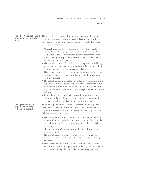| response to wellbeing is<br>good                                  | The school's promotion and response to student wellbeing reflects<br>many of the aspects of the Wellbeing Indicator Framework, but<br>there are areas where the school could improve. The following<br>features are evident:                                                                                                                                                                                                                                                                                                                                                                                                                                                                                                                                                                                                                                                                                                                                                                                                                                                                                                                 |
|-------------------------------------------------------------------|----------------------------------------------------------------------------------------------------------------------------------------------------------------------------------------------------------------------------------------------------------------------------------------------------------------------------------------------------------------------------------------------------------------------------------------------------------------------------------------------------------------------------------------------------------------------------------------------------------------------------------------------------------------------------------------------------------------------------------------------------------------------------------------------------------------------------------------------------------------------------------------------------------------------------------------------------------------------------------------------------------------------------------------------------------------------------------------------------------------------------------------------|
|                                                                   | • Although there are several positive aspects to the school's<br>approach to wellbeing, gains could be made by a more strategic<br>focus, such as the school bringing its work together in terms<br>of the Guiding Principles for student wellbeing (enhancing its<br>collaboration and/or cohesion).<br>· The school's culture is focused on promoting student wellbeing,<br>and it has good care systems and initiatives, but its curriculum<br>does not yet have a strong focus on wellbeing.<br>• There is some evidence that the school is contributing to many<br>students attaining/working towards the Desired Outcomes for<br>student wellbeing.<br>• The school has some information on student wellbeing, which it<br>responds to, but inquiry and improvement for wellbeing is not as<br>coordinated or robust enough to consistently and systematically<br>improve the school's promotion of and responsiveness to student<br>wellbeing.<br>• Some school partnerships make a contribution to student<br>wellbeing, although there is potential for greater coordination<br>between the school and health and social providers. |
| Some promotion and<br>response to student<br>wellbeing is evident | There are aspects where the school's promotion and response<br>to student wellbeing reflect the Wellbeing Indicator Framework,<br>but there are several areas where the school could improve. The<br>following features are evident:<br>• The school has some good relationships, including those among<br>many staff and students, but there some aspects of the school's<br>curriculum or care that do not yet support student wellbeing or<br>engagement.<br>• Most of the school's approach to wellbeing is delegated to a<br>minority of staff.<br>• The school has some inquiry and improvement processes<br>but does not consistently respond to the identified wellbeing<br>priorities.<br>• There are many other forms of data the school should use to<br>expand the scope of its inquiry into wellbeing, including student                                                                                                                                                                                                                                                                                                        |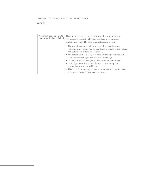### **PAGE 36**

| Promotion and response to<br>student wellbeing is limited | There are a few aspects where the school is promoting and<br>responding to student wellbeing, but there are significant<br>limitations overall. The following features are evident:                                                                                                                                                                                                                                                                                                                                                                                                     |
|-----------------------------------------------------------|-----------------------------------------------------------------------------------------------------------------------------------------------------------------------------------------------------------------------------------------------------------------------------------------------------------------------------------------------------------------------------------------------------------------------------------------------------------------------------------------------------------------------------------------------------------------------------------------|
|                                                           | • The school has some staff who 'care', but overall, student<br>wellbeing is not supported by significant elements of the culture,<br>curriculum and systems of the school.<br>• The school has not clearly identified wellbeing priorities and/or<br>there are few strategies or initiatives for change.<br>• Leadership for wellbeing lacks direction and commitment.<br>• Lack of partnerships act as a barrier to promoting and<br>responding to student wellbeing.<br>• There is little to no engagement with inquiry and improvement<br>processes connected to student wellbeing. |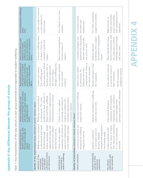| ミソンファー                                                                                           |
|--------------------------------------------------------------------------------------------------|
|                                                                                                  |
|                                                                                                  |
|                                                                                                  |
| Appendix 4: Key differences between the groups of school<br>$12.5$ $\mu$ $\mu$ $\mu$ $\mu$ $\mu$ |
|                                                                                                  |
|                                                                                                  |
|                                                                                                  |

Table 1: Key characteristics of the way schools in each group promoted and responded to student wellbeing Table 1: Key characteristics of the way schools in each group promoted and responded to student wellbeing

|                                                                                                            | student wellbeing, with<br>this woven through all<br>An extensive focus on<br>actions<br>(11%)                                                                                                         | promoted through the curriculum<br>and there were good responses<br>Student wellbeing was well<br>to wellbeing issues<br>(18%)                                                                       | Reasonable promotion of<br>wellbeing as schools had<br>and response to student<br>espectful relationships<br>positive cultures and<br>(48%)                                | behaviour management<br>Some promotion of and<br>but an over-reliance on<br>wellbeing by schools<br>response to student<br>(20%)     | Overwhelmed by wellbeing<br>issues<br>(3%)                                                               |
|------------------------------------------------------------------------------------------------------------|--------------------------------------------------------------------------------------------------------------------------------------------------------------------------------------------------------|------------------------------------------------------------------------------------------------------------------------------------------------------------------------------------------------------|----------------------------------------------------------------------------------------------------------------------------------------------------------------------------|--------------------------------------------------------------------------------------------------------------------------------------|----------------------------------------------------------------------------------------------------------|
|                                                                                                            | Quality of the improvement focus reflected in schools' decisions about:                                                                                                                                |                                                                                                                                                                                                      |                                                                                                                                                                            |                                                                                                                                      |                                                                                                          |
| subsequent actions<br>coherence of the<br>are interwoven<br>strategic plan<br>and whether<br>school goals, | Wellbeing vision articulated<br>in school goals and targets.<br>student assessment, teacher<br>appraisal and inquiry, and<br>school self review. Impact<br>reported and acted on.<br>Monitored through | Effectiveness of approaches not<br>needed to be more reflective of<br>well monitored and reviewed.<br>Māori and Pacific wellbeing.<br>Wellbeing vision articulated<br>goals. The vision<br>in school | achievement were linked;<br>through a wellbeing lens.<br>therefore unsure how to<br>interweave approaches<br>Leaders were unsure<br>how wellbeing and<br>and review impact | A narrow wellbeing vision<br>extended to goals and<br>in charter. Vision not<br>targets.                                             | Leaders unable to motivate<br>a team response for<br>improvement.                                        |
| student wellbeing<br>monitoring and<br>responding to                                                       | monitoring and systems of<br>support for students based<br>on the multiple outcomes.<br>Clarity of roles, vigilant                                                                                     | monitoring and systems of<br>sometimes separate from a<br>for students, but<br>Clarity of roles, vigilant<br>curriculum response.<br>support                                                         | Care response separated<br>from curriculum<br>response.                                                                                                                    | Behavioural management<br>focused systems of<br>support.                                                                             | Over-reliance on a crisis<br>response.                                                                   |
|                                                                                                            | Quality of interactions reflected in schools' decisions about:                                                                                                                                         |                                                                                                                                                                                                      |                                                                                                                                                                            |                                                                                                                                      |                                                                                                          |
| school curriculum                                                                                          | Curriculum promoted and<br>monitored for wellbeing<br>using local contexts.                                                                                                                            | Curriculum promoted wellbeing<br>using local contexts.                                                                                                                                               | competencies or values in<br>the school curriculum.<br>School values explicit<br>deliberate use of key<br>in interactions. No                                              | monitored for achievement<br>Curriculum designed and<br>outcomes (and generally<br>very narrow ones).                                | Curriculum poorly<br>described and<br>implemented.                                                       |
| student leadership<br>and say in their<br>experiences<br>educational                                       | evaluated and responded to<br>to curriculum and care<br>Students contributed<br>own learning needs.<br>decisions. Students                                                                             | contributed to wellbeing<br>culture and care roles.<br>Students                                                                                                                                      | Student potential to lead<br>not recognised.                                                                                                                               | the behaviour management<br>leadership jobs to support<br>Students allocated<br>system.                                              | Very little contribution<br>sought from students.<br>                                                    |
| relationship with<br>the community.<br>the school's                                                        | They used and contributed<br>two way nature of impact.<br>Leaders understood the<br>to a web of community<br>networks.                                                                                 | particular sectors of the community.<br>organisations, but could have<br>connections with community<br>better relationships with<br>Some schools had great                                           | Some schools connected<br>to particular sectors of<br>compliance focused<br>Parent consultation<br>their community.                                                        | history of connections with<br>leadership should formally<br>Many schools had a long<br>the community so school<br>seek their views. | with communities were<br>teachers and leaders<br>meant relationships<br>High turnover of<br>superficial. |

## **APPENDIX 4** APPENDIX 4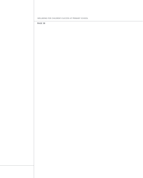**PAGE 38**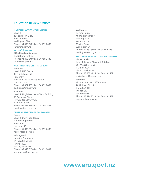### Education Review Offices

### **NATIONAL OFFICE – TARI MATUA**

Level 1, 101 Lambton Quay PO Box 2799 Wellington 6140 Phone: 04 499 2489 Fax: 04 499 2482 info@ero.govt.nz

### **TE UEPU¯ A¯ -MOTU**

**Mäori Review Services** c/o National Office Phone: 04 499 2489 Fax: 04 499 2482 erotu@ero.govt.nz

### **NORTHERN REGION – TE TAI RAKI**

**Auckland** Level 5, URS Centre 13–15 College Hill Ponsonby PO Box 7219, Wellesley Street Auckland 1141 Phone: 09 377 1331 Fax: 04 499 2482 auckland@ero.govt.nz

### **Hamilton**

Level 4, Hugh Monckton Trust Building 73 Rostrevor Street Private Bag 3095 WMC Hamilton 3240 Phone: 07 838 1898 Fax: 04 499 2482 hamilton@ero.govt.nz

### **CENTRAL REGION – TE TAI POKAPU¯**

**Napier** Level 2, Dunvegan House 215 Hastings Street PO Box 742 Napier 4140 Phone: 06 835 8143 Fax: 04 499 2482 napier@ero.govt.nz

**Whanganui** Ingestre Chambers 74 Ingestre Street PO Box 4023 Whanganui 4541 Phone: 06 349 0158 Fax: 04 499 2482 whanganui@ero.govt.nz

### **Wellington**

Revera House 48 Mulgrave Street Wellington 6011 PO Box 27 002 Marion Square Wellington 6141 Phone: 04 381 6800 Fax: 04 499 2482 wellington@ero.govt.nz

### **SOUTHERN REGION – TE WAIPOUNAMU**

**Christchurch**  Level 1, Brown Glassford Building 504 Wairekei Road P O Box 39045 Christchurch 8545 Phone: 03 359 4814 Fax: 04 499 2482 christchurch@ero.govt.nz

### **Dunedin**

Floor 9, John Wickliffe House 265 Princes Street Dunedin 9016 PO Box 902 Dunedin 9054 Phone: 03 474 9519 Fax: 04 499 2482 dunedin@ero.govt.nz

### **www.ero.govt.nz**